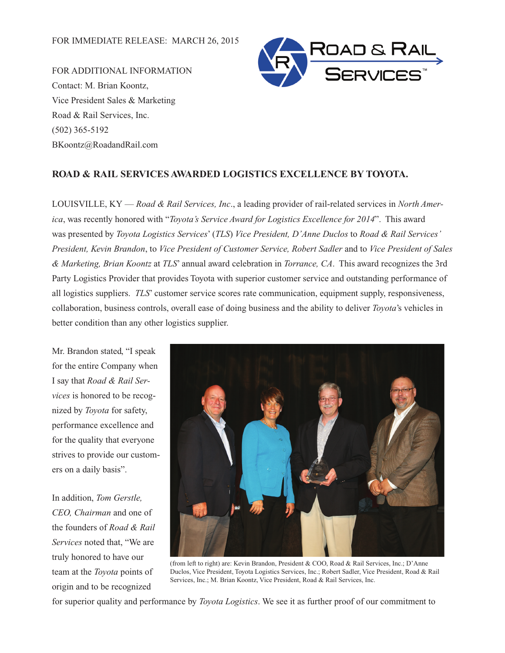FOR ADDITIONAL INFORMATION Contact: M. Brian Koontz, Vice President Sales & Marketing Road & Rail Services, Inc. (502) 365-5192 BKoontz@RoadandRail.com



## **ROAD & RAIL SERVICES AWARDED LOGISTICS EXCELLENCE BY TOYOTA.**

LOUISVILLE, KY — *Road & Rail Services, Inc*., a leading provider of rail-related services in *North America*, was recently honored with "*Toyota's Service Award for Logistics Excellence for 2014*". This award was presented by *Toyota Logistics Services*' (*TLS*) *Vice President, D'Anne Duclos* to *Road & Rail Services' President, Kevin Brandon*, to *Vice President of Customer Service, Robert Sadler* and to *Vice President of Sales & Marketing, Brian Koontz* at *TLS*' annual award celebration in *Torrance, CA*. This award recognizes the 3rd Party Logistics Provider that provides Toyota with superior customer service and outstanding performance of all logistics suppliers. *TLS*' customer service scores rate communication, equipment supply, responsiveness, collaboration, business controls, overall ease of doing business and the ability to deliver *Toyota*'s vehicles in better condition than any other logistics supplier.

Mr. Brandon stated, "I speak for the entire Company when I say that *Road & Rail Services* is honored to be recognized by *Toyota* for safety, performance excellence and for the quality that everyone strives to provide our customers on a daily basis".

In addition, *Tom Gerstle, CEO, Chairman* and one of the founders of *Road & Rail Services* noted that, "We are truly honored to have our team at the *Toyota* points of origin and to be recognized



(from left to right) are: Kevin Brandon, President & COO, Road & Rail Services, Inc.; D'Anne Duclos, Vice President, Toyota Logistics Services, Inc.; Robert Sadler, Vice President, Road & Rail Services, Inc.; M. Brian Koontz, Vice President, Road & Rail Services, Inc.

for superior quality and performance by *Toyota Logistics*. We see it as further proof of our commitment to